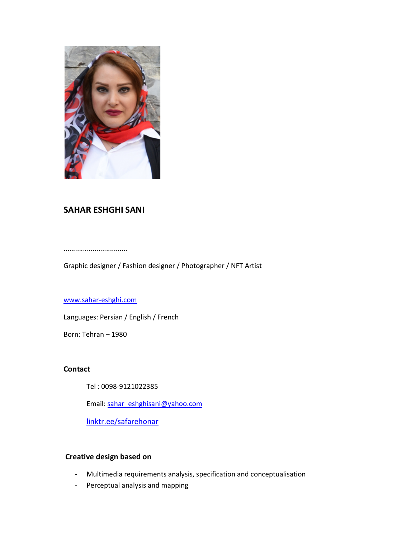

# SAHAR ESHGHI SANI

.................................

Graphic designer / Fashion designer / Photographer / NFT Artist

# www.sahar-eshghi.com

Languages: Persian / English / French

Born: Tehran – 1980

# Contact

Tel : 0098-9121022385

Email: sahar\_eshghisani@yahoo.com

linktr.ee/safarehonar

# Creative design based on

- Multimedia requirements analysis, specification and conceptualisation
- Perceptual analysis and mapping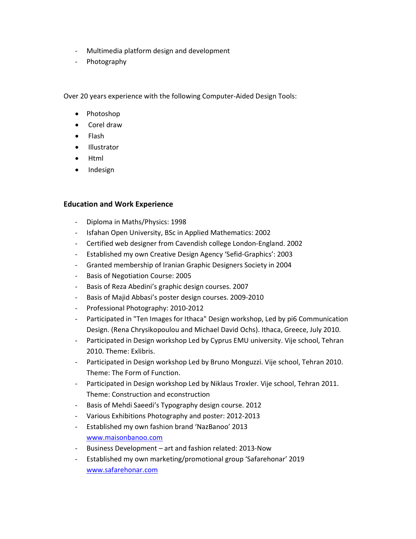- Multimedia platform design and development
- Photography

Over 20 years experience with the following Computer-Aided Design Tools:

- Photoshop
- Corel draw
- $\bullet$  Flash
- Illustrator
- Html
- Indesign

#### Education and Work Experience

- Diploma in Maths/Physics: 1998
- Isfahan Open University, BSc in Applied Mathematics: 2002
- Certified web designer from Cavendish college London-England. 2002
- Established my own Creative Design Agency 'Sefid-Graphics': 2003
- Granted membership of Iranian Graphic Designers Society in 2004
- Basis of Negotiation Course: 2005
- Basis of Reza Abedini's graphic design courses. 2007
- Basis of Majid Abbasi's poster design courses. 2009-2010
- Professional Photography: 2010-2012
- Participated in "Ten Images for Ithaca" Design workshop, Led by pi6 Communication Design. (Rena Chrysikopoulou and Michael David Ochs). Ithaca, Greece, July 2010.
- Participated in Design workshop Led by Cyprus EMU university. Vije school, Tehran 2010. Theme: Exlibris.
- Participated in Design workshop Led by Bruno Monguzzi. Vije school, Tehran 2010. Theme: The Form of Function.
- Participated in Design workshop Led by Niklaus Troxler. Vije school, Tehran 2011. Theme: Construction and econstruction
- Basis of Mehdi Saeedi's Typography design course. 2012
- Various Exhibitions Photography and poster: 2012-2013
- Established my own fashion brand 'NazBanoo' 2013 www.maisonbanoo.com
- Business Development art and fashion related: 2013-Now
- Established my own marketing/promotional group 'Safarehonar' 2019 www.safarehonar.com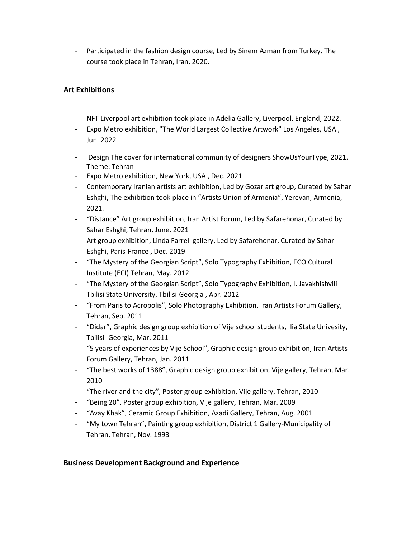- Participated in the fashion design course, Led by Sinem Azman from Turkey. The course took place in Tehran, Iran, 2020.

# Art Exhibitions

- NFT Liverpool art exhibition took place in Adelia Gallery, Liverpool, England, 2022.
- Expo Metro exhibition, "The World Largest Collective Artwork" Los Angeles, USA, Jun. 2022
- Design The cover for international community of designers ShowUsYourType, 2021. Theme: Tehran
- Expo Metro exhibition, New York, USA , Dec. 2021
- Contemporary Iranian artists art exhibition, Led by Gozar art group, Curated by Sahar Eshghi, The exhibition took place in "Artists Union of Armenia", Yerevan, Armenia, 2021.
- "Distance" Art group exhibition, Iran Artist Forum, Led by Safarehonar, Curated by Sahar Eshghi, Tehran, June. 2021
- Art group exhibition, Linda Farrell gallery, Led by Safarehonar, Curated by Sahar Eshghi, Paris-France , Dec. 2019
- "The Mystery of the Georgian Script", Solo Typography Exhibition, ECO Cultural Institute (ECI) Tehran, May. 2012
- "The Mystery of the Georgian Script", Solo Typography Exhibition, I. Javakhishvili Tbilisi State University, Tbilisi-Georgia , Apr. 2012
- "From Paris to Acropolis", Solo Photography Exhibition, Iran Artists Forum Gallery, Tehran, Sep. 2011
- "Didar", Graphic design group exhibition of Vije school students, Ilia State Univesity, Tbilisi- Georgia, Mar. 2011
- "5 years of experiences by Vije School", Graphic design group exhibition, Iran Artists Forum Gallery, Tehran, Jan. 2011
- "The best works of 1388", Graphic design group exhibition, Vije gallery, Tehran, Mar. 2010
- "The river and the city", Poster group exhibition, Vije gallery, Tehran, 2010
- "Being 20", Poster group exhibition, Vije gallery, Tehran, Mar. 2009
- "Avay Khak", Ceramic Group Exhibition, Azadi Gallery, Tehran, Aug. 2001
- "My town Tehran", Painting group exhibition, District 1 Gallery-Municipality of Tehran, Tehran, Nov. 1993

# Business Development Background and Experience